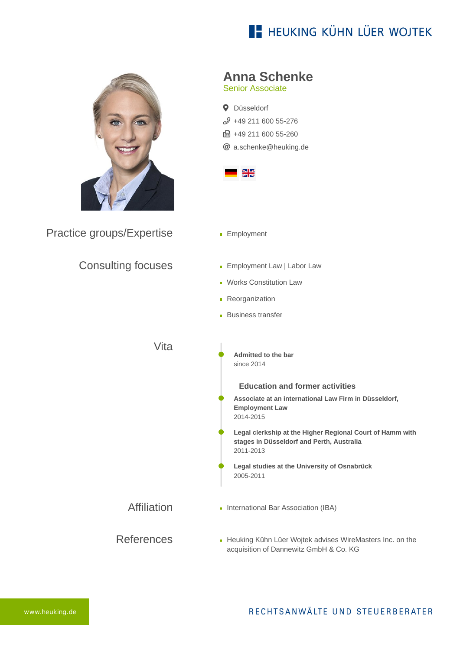# **E- HEUKING KÜHN LÜER WOJTEK**



Practice groups/Expertise

### Consulting focuses

| <b>Anna Schenke</b> |  |
|---------------------|--|
|---------------------|--|

Senior Associate

**Q** Düsseldorf  $$49$  211 600 55-276 ft: +49 211 600 55-260 [a.schenke@heuking.de](mailto:a.schenke@heuking.de?subject=Contact%20via%20website%20heuking.de)



- **Employment**
- **Employment Law | Labor Law**
- **Works Constitution Law**
- **Reorganization**
- **Business transfer**

References Vita Affiliation **Admitted to the bar** since 2014 **Education and former activities Associate at an international Law Firm in Düsseldorf, Employment Law** 2014-2015 **Legal clerkship at the Higher Regional Court of Hamm with stages in Düsseldorf and Perth, Australia** 2011-2013 **Legal studies at the University of Osnabrück** 2005-2011 **International Bar Association (IBA) [Heuking Kühn Lüer Wojtek advises WireMasters Inc. on the](https://www.heuking.de/en/lawyers/detail/pdf-download.html?lawyer=640&cHash=630e8c4d27d2574fa1bced03e7894e44)** acquisition of Dannewitz GmbH & Co. KG